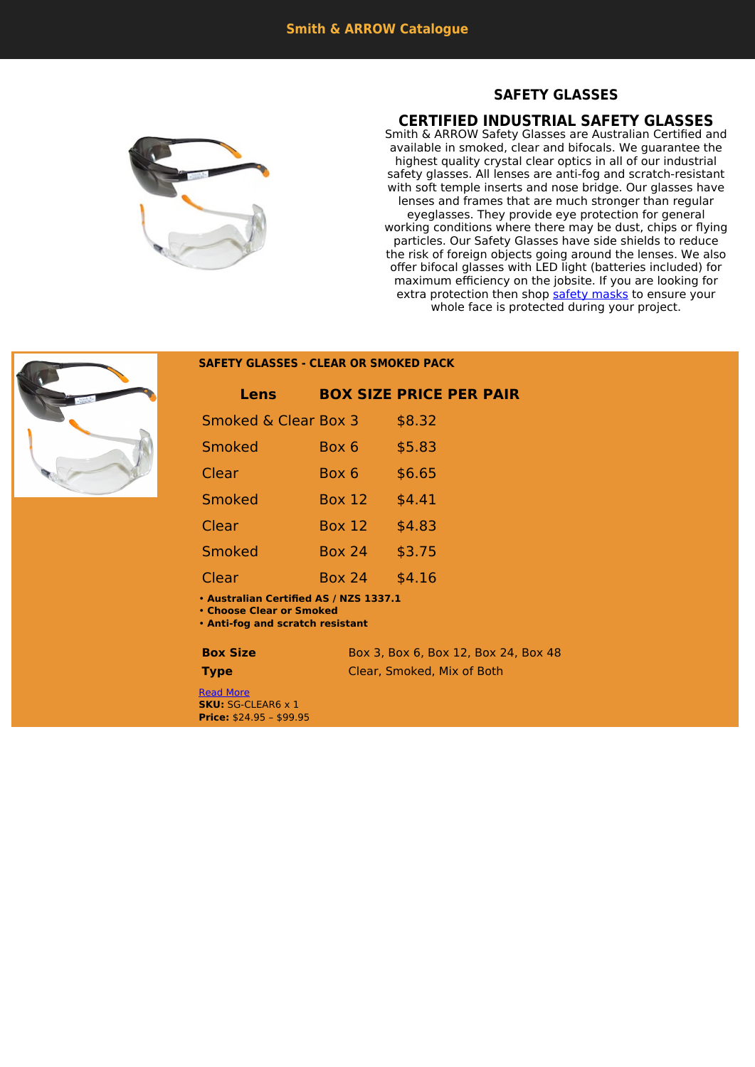

## **SAFETY GLASSES**

### **CERTIFIED INDUSTRIAL SAFETY GLASSES**

Smith & ARROW Safety Glasses are Australian Certified and available in smoked, clear and bifocals. We guarantee the highest quality crystal clear optics in all of our industrial safety glasses. All lenses are anti-fog and scratch-resistant with soft temple inserts and nose bridge. Our glasses have lenses and frames that are much stronger than regular eyeglasses. They provide eye protection for general working conditions where there may be dust, chips or flying particles. Our Safety Glasses have side shields to reduce the risk of foreign objects going around the lenses. We also offer bifocal glasses with LED light (batteries included) for maximum efficiency on the jobsite. If you are looking for extra protection then shop [safety masks](https://www.smithandarrow.com.au/product-category/safety-masks/) to ensure your whole face is protected during your project.



#### **SAFETY GLASSES - CLEAR OR SMOKED PACK**

| Lens                 |               | <b>BOX SIZE PRICE PER PAIR</b> |
|----------------------|---------------|--------------------------------|
| Smoked & Clear Box 3 |               | \$8.32                         |
| Smoked               | Box 6         | \$5.83                         |
| Clear                | Box 6         | \$6.65                         |
| Smoked               | <b>Box 12</b> | \$4.41                         |
| Clear                | <b>Box 12</b> | \$4.83                         |
| Smoked               | <b>Box 24</b> | \$3.75                         |
| Clear                | <b>Box 24</b> | \$4.16                         |
|                      |               |                                |

• **Australian Certified AS / NZS 1337.1**

• **Choose Clear or Smoked**

• **Anti-fog and scratch resistant**

| Box Size |
|----------|
|          |

**Box Size** Box 3, Box 6, Box 12, Box 24, Box 48 **Type** Clear, Smoked, Mix of Both

[Read More](https://www.smithandarrow.com.au/product/safety-glasses/safety-glasses-clear-or-smoked-pack/) **SKU:** SG-CLEAR6 x 1 **Price:** \$24.95 – \$99.95